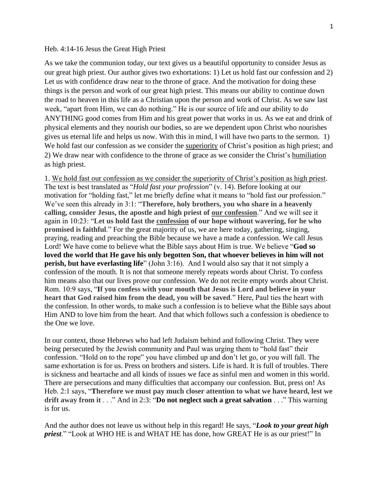## Heb. 4:14-16 Jesus the Great High Priest

As we take the communion today, our text gives us a beautiful opportunity to consider Jesus as our great high priest. Our author gives two exhortations: 1) Let us hold fast our confession and 2) Let us with confidence draw near to the throne of grace. And the motivation for doing these things is the person and work of our great high priest. This means our ability to continue down the road to heaven in this life as a Christian upon the person and work of Christ. As we saw last week, "apart from Him, we can do nothing." He is our source of life and our ability to do ANYTHING good comes from Him and his great power that works in us. As we eat and drink of physical elements and they nourish our bodies, so are we dependent upon Christ who nourishes gives us eternal life and helps us now. With this in mind, I will have two parts to the sermon. 1) We hold fast our confession as we consider the superiority of Christ's position as high priest; and 2) We draw near with confidence to the throne of grace as we consider the Christ's humiliation as high priest.

1. We hold fast our confession as we consider the superiority of Christ's position as high priest. The text is best translated as "*Hold fast your profession*" (v. 14). Before looking at our motivation for "holding fast," let me briefly define what it means to "hold fast our profession." We've seen this already in 3:1: "**Therefore, holy brothers, you who share in a heavenly calling, consider Jesus, the apostle and high priest of our confession**." And we will see it again in 10:23: "**Let us hold fast the confession of our hope without wavering, for he who promised is faithful**." For the great majority of us, we are here today, gathering, singing, praying, reading and preaching the Bible because we have a made a confession. We call Jesus Lord! We have come to believe what the Bible says about Him is true. We believe "**God so loved the world that He gave his only begotten Son, that whoever believes in him will not perish, but have everlasting life**" (John 3:16). And I would also say that it not simply a confession of the mouth. It is not that someone merely repeats words about Christ. To confess him means also that our lives prove our confession. We do not recite empty words about Christ. Rom. 10:9 says, "**If you confess with your mouth that Jesus is Lord and believe in your heart that God raised him from the dead, you will be saved**." Here, Paul ties the heart with the confession. In other words, to make such a confession is to believe what the Bible says about Him AND to love him from the heart. And that which follows such a confession is obedience to the One we love.

In our context, those Hebrews who had left Judaism behind and following Christ. They were being persecuted by the Jewish community and Paul was urging them to "hold fast" their confession. "Hold on to the rope" you have climbed up and don't let go, or you will fall. The same exhortation is for us. Press on brothers and sisters. Life is hard. It is full of troubles. There is sickness and heartache and all kinds of issues we face as sinful men and women in this world. There are persecutions and many difficulties that accompany our confession. But, press on! As Heb. 2:1 says, "**Therefore we must pay much closer attention to what we have heard, lest we drift away from it** . . ." And in 2:3: "**Do not neglect such a great salvation** . . ." This warning is for us.

And the author does not leave us without help in this regard! He says, "*Look to your great high priest*." "Look at WHO HE is and WHAT HE has done, how GREAT He is as our priest!" In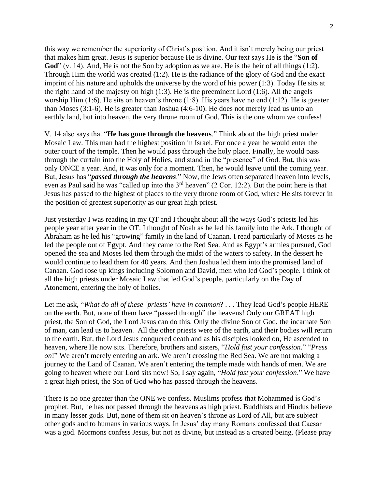this way we remember the superiority of Christ's position. And it isn't merely being our priest that makes him great. Jesus is superior because He is divine. Our text says He is the "**Son of**  God" (v. 14). And, He is not the Son by adoption as we are. He is the heir of all things (1:2). Through Him the world was created (1:2). He is the radiance of the glory of God and the exact imprint of his nature and upholds the universe by the word of his power (1:3). Today He sits at the right hand of the majesty on high (1:3). He is the preeminent Lord (1:6). All the angels worship Him (1:6). He sits on heaven's throne (1:8). His years have no end (1:12). He is greater than Moses (3:1-6). He is greater than Joshua (4:6-10). He does not merely lead us unto an earthly land, but into heaven, the very throne room of God. This is the one whom we confess!

V. 14 also says that "**He has gone through the heavens**." Think about the high priest under Mosaic Law. This man had the highest position in Israel. For once a year he would enter the outer court of the temple. Then he would pass through the holy place. Finally, he would pass through the curtain into the Holy of Holies, and stand in the "presence" of God. But, this was only ONCE a year. And, it was only for a moment. Then, he would leave until the coming year. But, Jesus has "*passed through the heavens*." Now, the Jews often separated heaven into levels, even as Paul said he was "called up into the 3rd heaven" (2 Cor. 12:2). But the point here is that Jesus has passed to the highest of places to the very throne room of God, where He sits forever in the position of greatest superiority as our great high priest.

Just yesterday I was reading in my QT and I thought about all the ways God's priests led his people year after year in the OT. I thought of Noah as he led his family into the Ark. I thought of Abraham as he led his "growing" family in the land of Caanan. I read particularly of Moses as he led the people out of Egypt. And they came to the Red Sea. And as Egypt's armies pursued, God opened the sea and Moses led them through the midst of the waters to safety. In the dessert he would continue to lead them for 40 years. And then Joshua led them into the promised land of Canaan. God rose up kings including Solomon and David, men who led God's people. I think of all the high priests under Mosaic Law that led God's people, particularly on the Day of Atonement, entering the holy of holies.

Let me ask, "*What do all of these 'priests' have in common*? . . . They lead God's people HERE on the earth. But, none of them have "passed through" the heavens! Only our GREAT high priest, the Son of God, the Lord Jesus can do this. Only the divine Son of God, the incarnate Son of man, can lead us to heaven. All the other priests were of the earth, and their bodies will return to the earth. But, the Lord Jesus conquered death and as his disciples looked on, He ascended to heaven, where He now sits. Therefore, brothers and sisters, "*Hold fast your confession*." "*Press on*!" We aren't merely entering an ark. We aren't crossing the Red Sea. We are not making a journey to the Land of Caanan. We aren't entering the temple made with hands of men. We are going to heaven where our Lord sits now! So, I say again, "*Hold fast your confession*." We have a great high priest, the Son of God who has passed through the heavens.

There is no one greater than the ONE we confess. Muslims profess that Mohammed is God's prophet. But, he has not passed through the heavens as high priest. Buddhists and Hindus believe in many lesser gods. But, none of them sit on heaven's throne as Lord of All, but are subject other gods and to humans in various ways. In Jesus' day many Romans confessed that Caesar was a god. Mormons confess Jesus, but not as divine, but instead as a created being. (Please pray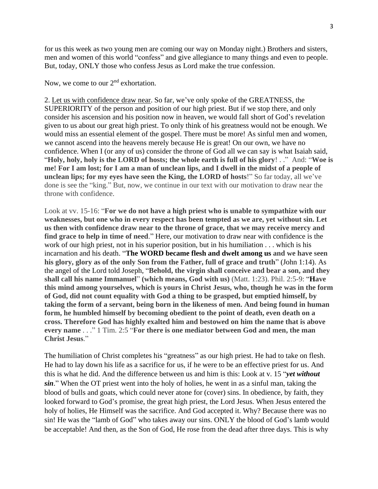for us this week as two young men are coming our way on Monday night.) Brothers and sisters, men and women of this world "confess" and give allegiance to many things and even to people. But, today, ONLY those who confess Jesus as Lord make the true confession.

Now, we come to our 2<sup>nd</sup> exhortation.

2. Let us with confidence draw near. So far, we've only spoke of the GREATNESS, the SUPERIORITY of the person and position of our high priest. But if we stop there, and only consider his ascension and his position now in heaven, we would fall short of God's revelation given to us about our great high priest. To only think of his greatness would not be enough. We would miss an essential element of the gospel. There must be more! As sinful men and women, we cannot ascend into the heavens merely because He is great! On our own, we have no confidence. When I (or any of us) consider the throne of God all we can say is what Isaiah said, "**Holy, holy, holy is the LORD of hosts; the whole earth is full of his glory**! . ." And: "**Woe is me! For I am lost; for I am a man of unclean lips, and I dwell in the midst of a people of unclean lips; for my eyes have seen the King, the LORD of hosts**!" So far today, all we've done is see the "king." But, now, we continue in our text with our motivation to draw near the throne with confidence.

Look at vv. 15-16: "**For we do not have a high priest who is unable to sympathize with our weaknesses, but one who in every respect has been tempted as we are, yet without sin. Let us then with confidence draw near to the throne of grace, that we may receive mercy and find grace to help in time of need**." Here, our motivation to draw near with confidence is the work of our high priest, not in his superior position, but in his humiliation . . . which is his incarnation and his death. "**The WORD became flesh and dwelt among us and we have seen his glory, glory as of the only Son from the Father, full of grace and truth**" (John 1:14). As the angel of the Lord told Joseph, "**Behold, the virgin shall conceive and bear a son, and they shall call his name Immanuel**" **(which means, God with us)** (Matt. 1:23). Phil. 2:5-9: "**Have this mind among yourselves, which is yours in Christ Jesus, who, though he was in the form of God, did not count equality with God a thing to be grasped, but emptied himself, by taking the form of a servant, being born in the likeness of men. And being found in human form, he humbled himself by becoming obedient to the point of death, even death on a cross. Therefore God has highly exalted him and bestowed on him the name that is above every name** . . ." 1 Tim. 2:5 "**For there is one mediator between God and men, the man Christ Jesus**."

The humiliation of Christ completes his "greatness" as our high priest. He had to take on flesh. He had to lay down his life as a sacrifice for us, if he were to be an effective priest for us. And this is what he did. And the difference between us and him is this: Look at v. 15 "*yet without sin*." When the OT priest went into the holy of holies, he went in as a sinful man, taking the blood of bulls and goats, which could never atone for (cover) sins. In obedience, by faith, they looked forward to God's promise, the great high priest, the Lord Jesus. When Jesus entered the holy of holies, He Himself was the sacrifice. And God accepted it. Why? Because there was no sin! He was the "lamb of God" who takes away our sins. ONLY the blood of God's lamb would be acceptable! And then, as the Son of God, He rose from the dead after three days. This is why